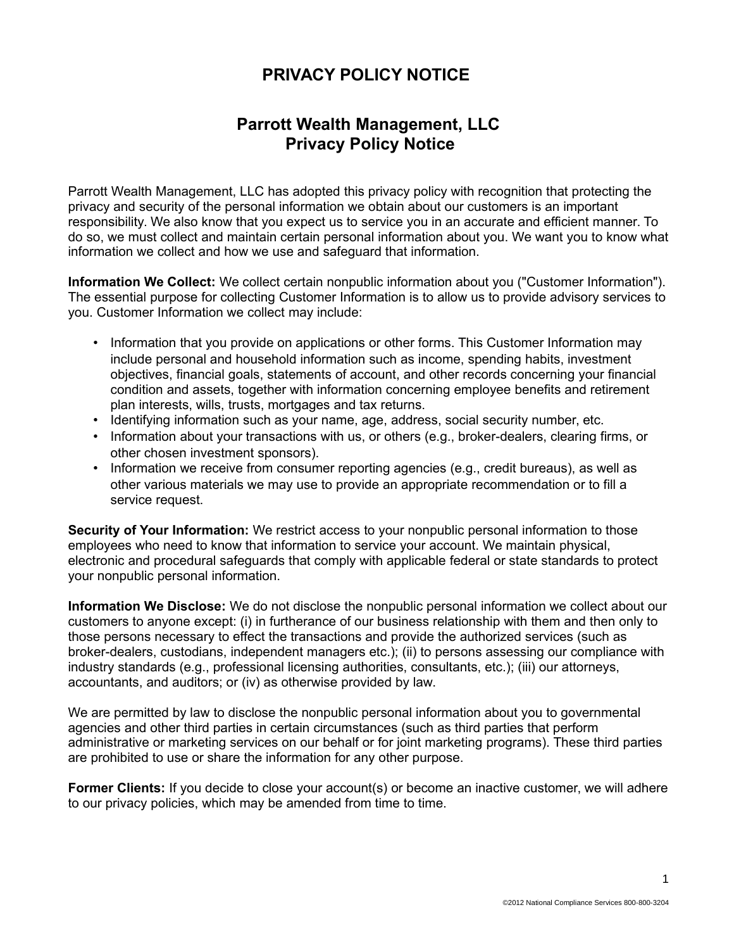## **PRIVACY POLICY NOTICE**

## **Parrott Wealth Management, LLC Privacy Policy Notice**

Parrott Wealth Management, LLC has adopted this privacy policy with recognition that protecting the privacy and security of the personal information we obtain about our customers is an important responsibility. We also know that you expect us to service you in an accurate and efficient manner. To do so, we must collect and maintain certain personal information about you. We want you to know what information we collect and how we use and safeguard that information.

**Information We Collect:** We collect certain nonpublic information about you ("Customer Information"). The essential purpose for collecting Customer Information is to allow us to provide advisory services to you. Customer Information we collect may include:

- Information that you provide on applications or other forms. This Customer Information may include personal and household information such as income, spending habits, investment objectives, financial goals, statements of account, and other records concerning your financial condition and assets, together with information concerning employee benefits and retirement plan interests, wills, trusts, mortgages and tax returns.
- Identifying information such as your name, age, address, social security number, etc.
- Information about your transactions with us, or others (e.g., broker-dealers, clearing firms, or other chosen investment sponsors).
- Information we receive from consumer reporting agencies (e.g., credit bureaus), as well as other various materials we may use to provide an appropriate recommendation or to fill a service request.

**Security of Your Information:** We restrict access to your nonpublic personal information to those employees who need to know that information to service your account. We maintain physical, electronic and procedural safeguards that comply with applicable federal or state standards to protect your nonpublic personal information.

**Information We Disclose:** We do not disclose the nonpublic personal information we collect about our customers to anyone except: (i) in furtherance of our business relationship with them and then only to those persons necessary to effect the transactions and provide the authorized services (such as broker-dealers, custodians, independent managers etc.); (ii) to persons assessing our compliance with industry standards (e.g., professional licensing authorities, consultants, etc.); (iii) our attorneys, accountants, and auditors; or (iv) as otherwise provided by law.

We are permitted by law to disclose the nonpublic personal information about you to governmental agencies and other third parties in certain circumstances (such as third parties that perform administrative or marketing services on our behalf or for joint marketing programs). These third parties are prohibited to use or share the information for any other purpose.

**Former Clients:** If you decide to close your account(s) or become an inactive customer, we will adhere to our privacy policies, which may be amended from time to time.